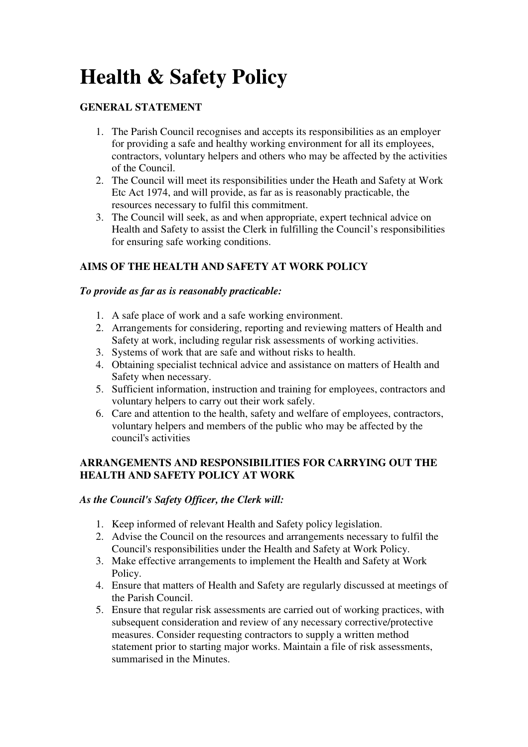# **Health & Safety Policy**

### **GENERAL STATEMENT**

- 1. The Parish Council recognises and accepts its responsibilities as an employer for providing a safe and healthy working environment for all its employees, contractors, voluntary helpers and others who may be affected by the activities of the Council.
- 2. The Council will meet its responsibilities under the Heath and Safety at Work Etc Act 1974, and will provide, as far as is reasonably practicable, the resources necessary to fulfil this commitment.
- 3. The Council will seek, as and when appropriate, expert technical advice on Health and Safety to assist the Clerk in fulfilling the Council's responsibilities for ensuring safe working conditions.

## **AIMS OF THE HEALTH AND SAFETY AT WORK POLICY**

#### *To provide as far as is reasonably practicable:*

- 1. A safe place of work and a safe working environment.
- 2. Arrangements for considering, reporting and reviewing matters of Health and Safety at work, including regular risk assessments of working activities.
- 3. Systems of work that are safe and without risks to health.
- 4. Obtaining specialist technical advice and assistance on matters of Health and Safety when necessary.
- 5. Sufficient information, instruction and training for employees, contractors and voluntary helpers to carry out their work safely.
- 6. Care and attention to the health, safety and welfare of employees, contractors, voluntary helpers and members of the public who may be affected by the council's activities

#### **ARRANGEMENTS AND RESPONSIBILITIES FOR CARRYING OUT THE HEALTH AND SAFETY POLICY AT WORK**

#### *As the Council's Safety Officer, the Clerk will:*

- 1. Keep informed of relevant Health and Safety policy legislation.
- 2. Advise the Council on the resources and arrangements necessary to fulfil the Council's responsibilities under the Health and Safety at Work Policy.
- 3. Make effective arrangements to implement the Health and Safety at Work Policy.
- 4. Ensure that matters of Health and Safety are regularly discussed at meetings of the Parish Council.
- 5. Ensure that regular risk assessments are carried out of working practices, with subsequent consideration and review of any necessary corrective/protective measures. Consider requesting contractors to supply a written method statement prior to starting major works. Maintain a file of risk assessments, summarised in the Minutes.